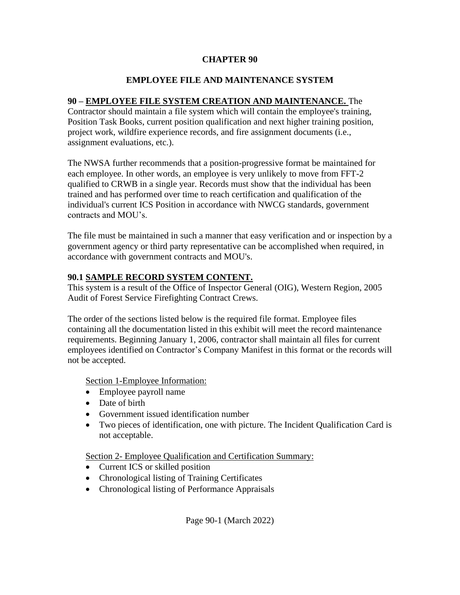## **CHAPTER 90**

## **EMPLOYEE FILE AND MAINTENANCE SYSTEM**

## **90 – EMPLOYEE FILE SYSTEM CREATION AND MAINTENANCE.** The

Contractor should maintain a file system which will contain the employee's training, Position Task Books, current position qualification and next higher training position, project work, wildfire experience records, and fire assignment documents (i.e., assignment evaluations, etc.).

The NWSA further recommends that a position-progressive format be maintained for each employee. In other words, an employee is very unlikely to move from FFT-2 qualified to CRWB in a single year. Records must show that the individual has been trained and has performed over time to reach certification and qualification of the individual's current ICS Position in accordance with NWCG standards, government contracts and MOU's.

The file must be maintained in such a manner that easy verification and or inspection by a government agency or third party representative can be accomplished when required, in accordance with government contracts and MOU's.

## **90.1 SAMPLE RECORD SYSTEM CONTENT.**

This system is a result of the Office of Inspector General (OIG), Western Region, 2005 Audit of Forest Service Firefighting Contract Crews.

The order of the sections listed below is the required file format. Employee files containing all the documentation listed in this exhibit will meet the record maintenance requirements. Beginning January 1, 2006, contractor shall maintain all files for current employees identified on Contractor's Company Manifest in this format or the records will not be accepted.

**Section 1-Employee Information:** 

- Employee payroll name
- Date of birth
- Government issued identification number
- Two pieces of identification, one with picture. The Incident Qualification Card is not acceptable.

Section 2- Employee Qualification and Certification Summary:

- Current ICS or skilled position
- Chronological listing of Training Certificates
- Chronological listing of Performance Appraisals

Page 90-1 (March 2022)